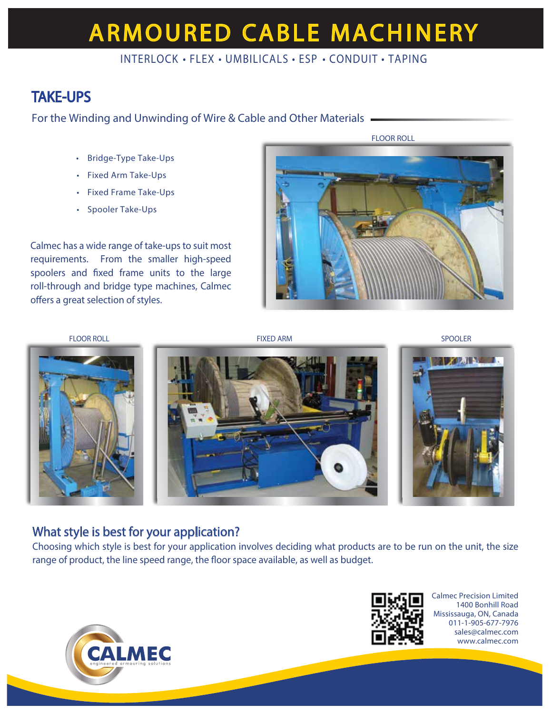# **ARMOURED CABLE MACHINERY**

## INTERLOCK • FLEX • UMBILICALS • ESP • CONDUIT • TAPING

## TAKE-UPS

For the Winding and Unwinding of Wire & Cable and Other Materials

- Bridge-Type Take-Ups
- Fixed Arm Take-Ups
- Fixed Frame Take-Ups
- Spooler Take-Ups

Calmec has a wide range of take-ups to suit most requirements. From the smaller high-speed spoolers and fixed frame units to the large roll-through and bridge type machines, Calmec offers a great selection of styles.





## What style is best for your application?

Choosing which style is best for your application involves deciding what products are to be run on the unit, the size range of product, the line speed range, the floor space available, as well as budget.





Calmec Precision Limited 1400 Bonhill Road Mississauga, ON, Canada 011-1-905-677-7976 sales@calmec.com www.calmec.com